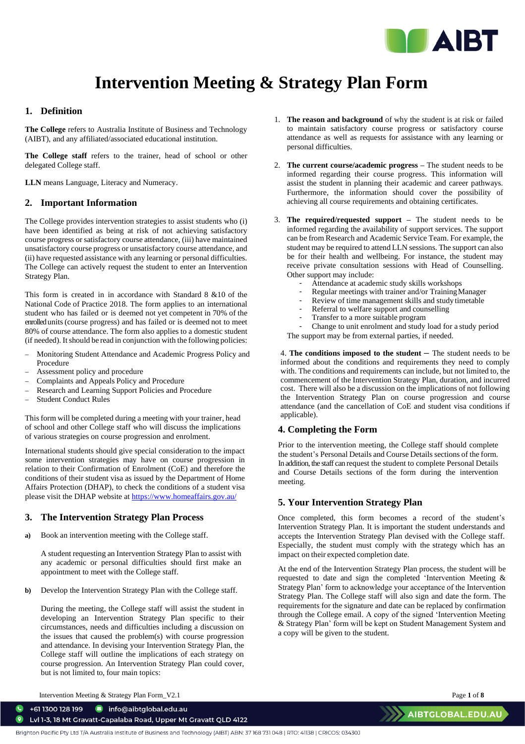

# **Intervention Meeting & Strategy Plan Form**

#### **1. Definition**

**The College** refers to Australia Institute of Business and Technology (AIBT), and any affiliated/associated educational institution.

**The College staff** refers to the trainer, head of school or other delegated College staff.

**LLN** means Language, Literacy and Numeracy.

# **2. Important Information**

The College provides intervention strategies to assist students who (i) have been identified as being at risk of not achieving satisfactory course progress or satisfactory course attendance, (iii) have maintained unsatisfactory course progress or unsatisfactory course attendance, and (ii) have requested assistance with any learning or personal difficulties. The College can actively request the student to enter an Intervention Strategy Plan.

This form is created in in accordance with Standard 8 &10 of the National Code of Practice 2018. The form applies to an international student who has failed or is deemed not yet competent in 70% of the enrolled units(course progress) and has failed or is deemed not to meet 80% of course attendance. The form also applies to a domestic student (if needed). It should be read in conjunction with the following policies:

- − Monitoring Student Attendance and Academic Progress Policy and Procedure
- − Assessment policy and procedure
- − Complaints and Appeals Policy and Procedure
- − Research and Learning Support Policies and Procedure
- − Student Conduct Rules

This form will be completed during a meeting with your trainer, head of school and other College staff who will discuss the implications of various strategies on course progression and enrolment.

International students should give special consideration to the impact some intervention strategies may have on course progression in relation to their Confirmation of Enrolment (CoE) and therefore the conditions of their student visa as issued by the Department of Home Affairs Protection (DHAP), to check the conditions of a student visa please visit the DHAP website a[t https://www.homeaffairs.gov.au/](https://www.homeaffairs.gov.au/)

# **3. The Intervention Strategy Plan Process**

**a)** Book an intervention meeting with the College staff.

A student requesting an Intervention Strategy Plan to assist with any academic or personal difficulties should first make an appointment to meet with the College staff.

**b)** Develop the Intervention Strategy Plan with the College staff.

During the meeting, the College staff will assist the student in developing an Intervention Strategy Plan specific to their circumstances, needs and difficulties including a discussion on the issues that caused the problem(s) with course progression and attendance. In devising your Intervention Strategy Plan, the College staff will outline the implications of each strategy on course progression. An Intervention Strategy Plan could cover, but is not limited to, four main topics:

- 1. **The reason and background** of why the student is at risk or failed to maintain satisfactory course progress or satisfactory course attendance as well as requests for assistance with any learning or personal difficulties.
- 2. **The current course/academic progress –** The student needs to be informed regarding their course progress. This information will assist the student in planning their academic and career pathways. Furthermore, the information should cover the possibility of achieving all course requirements and obtaining certificates.
- 3. **The required/requested support –** The student needs to be informed regarding the availability of support services. The support can be from Research and Academic Service Team. For example, the student may be required to attend LLN sessions. The support can also be for their health and wellbeing. For instance, the student may receive private consultation sessions with Head of Counselling. Other support may include:
	- Attendance at academic study skills workshops
	- Regular meetings with trainer and/or Training Manager
	- Review of time management skills and study timetable
	- Referral to welfare support and counselling
	- Transfer to a more suitable program

- Change to unit enrolment and study load for a study period The support may be from external parties, if needed.

4. **The conditions imposed to the student –** The student needs to be informed about the conditions and requirements they need to comply with. The conditions and requirements can include, but not limited to, the commencement of the Intervention Strategy Plan, duration, and incurred cost. There will also be a discussion on the implications of not following the Intervention Strategy Plan on course progression and course attendance (and the cancellation of CoE and student visa conditions if applicable).

# **4. Completing the Form**

Prior to the intervention meeting, the College staff should complete the student's Personal Details and Course Details sections of the form. In addition, the staff can request the student to complete Personal Details and Course Details sections of the form during the intervention meeting.

# **5. Your Intervention Strategy Plan**

Once completed, this form becomes a record of the student's Intervention Strategy Plan. It is important the student understands and accepts the Intervention Strategy Plan devised with the College staff. Especially, the student must comply with the strategy which has an impact on their expected completion date.

At the end of the Intervention Strategy Plan process, the student will be requested to date and sign the completed 'Intervention Meeting & Strategy Plan' form to acknowledge your acceptance of the Intervention Strategy Plan. The College staff will also sign and date the form. The requirements for the signature and date can be replaced by confirmation through the College email. A copy of the signed 'Intervention Meeting & Strategy Plan' form will be kept on Student Management System and a copy will be given to the student.

Intervention Meeting & Strategy Plan Form\_V2.1 Page **1** of **8**

 $\begin{array}{cc} \bullet & +611300128199 \end{array}$ nfo@aibtglobal.edu.au Lvl 1-3, 18 Mt Gravatt-Capalaba Road, Upper Mt Gravatt QLD 4122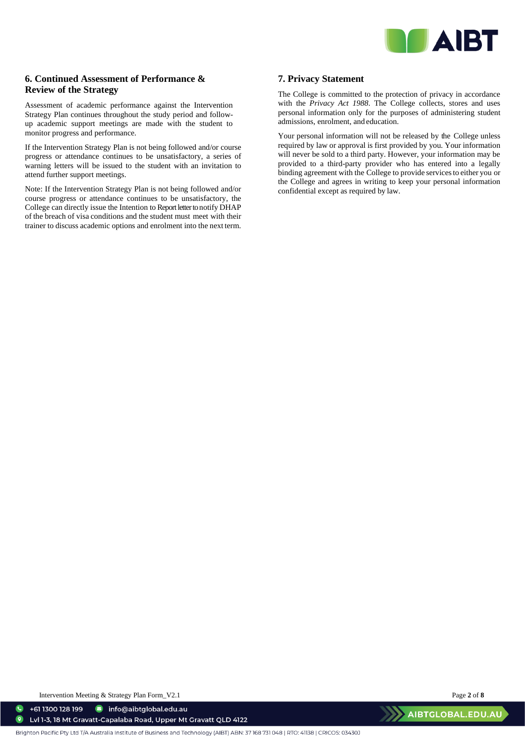

# **6. Continued Assessment of Performance & Review of the Strategy**

Assessment of academic performance against the Intervention Strategy Plan continues throughout the study period and followup academic support meetings are made with the student to monitor progress and performance.

If the Intervention Strategy Plan is not being followed and/or course progress or attendance continues to be unsatisfactory, a series of warning letters will be issued to the student with an invitation to attend further support meetings.

Note: If the Intervention Strategy Plan is not being followed and/or course progress or attendance continues to be unsatisfactory, the College can directly issue the Intention to Report letter to notify DHAP of the breach of visa conditions and the student must meet with their trainer to discuss academic options and enrolment into the next term.

# **7. Privacy Statement**

The College is committed to the protection of privacy in accordance with the *Privacy Act 1988*. The College collects, stores and uses personal information only for the purposes of administering student admissions, enrolment, and education.

Your personal information will not be released by the College unless required by law or approval is first provided by you. Your information will never be sold to a third party. However, your information may be provided to a third-party provider who has entered into a legally binding agreement with the College to provide services to either you or the College and agrees in writing to keep your personal information confidential except as required by law.

Intervention Meeting & Strategy Plan Form\_V2.1 Page **2** of **8**

nfo@aibtglobal.edu.au  $\bullet$ +61 1300 128 199  $\bullet$ Lvl 1-3, 18 Mt Gravatt-Capalaba Road, Upper Mt Gravatt QLD 4122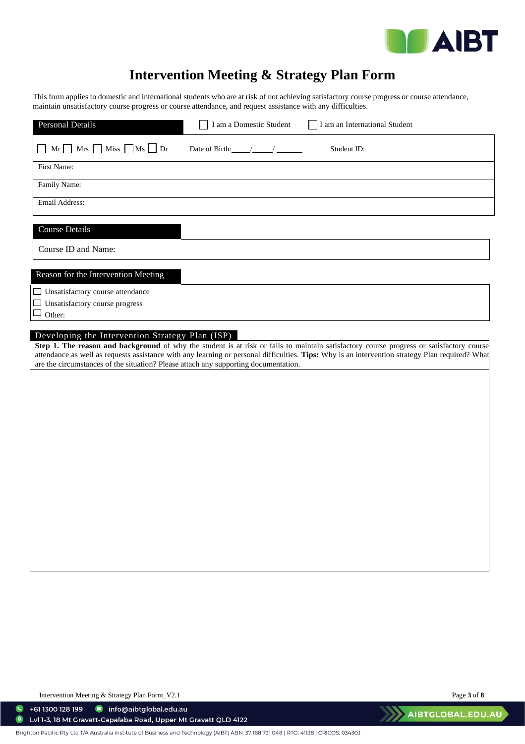

# **Intervention Meeting & Strategy Plan Form**

This form applies to domestic and international students who are at risk of not achieving satisfactory course progress or course attendance, maintain unsatisfactory course progress or course attendance, and request assistance with any difficulties.

| Personal Details                                                                    | I am a Domestic Student                      | I am an International Student                                                                                                                                                                                                                                                               |
|-------------------------------------------------------------------------------------|----------------------------------------------|---------------------------------------------------------------------------------------------------------------------------------------------------------------------------------------------------------------------------------------------------------------------------------------------|
| $Mr \tMrs \tMiss \tMs \tDr$                                                         | Date of Birth: $\frac{1}{2}$ / $\frac{1}{2}$ | Student ID:                                                                                                                                                                                                                                                                                 |
| First Name:                                                                         |                                              |                                                                                                                                                                                                                                                                                             |
| Family Name:                                                                        |                                              |                                                                                                                                                                                                                                                                                             |
| Email Address:                                                                      |                                              |                                                                                                                                                                                                                                                                                             |
| <b>Course Details</b>                                                               |                                              |                                                                                                                                                                                                                                                                                             |
| Course ID and Name:                                                                 |                                              |                                                                                                                                                                                                                                                                                             |
| Reason for the Intervention Meeting                                                 |                                              |                                                                                                                                                                                                                                                                                             |
| □ Unsatisfactory course attendance                                                  |                                              |                                                                                                                                                                                                                                                                                             |
| Unsatisfactory course progress<br>$\Box$<br>Other:                                  |                                              |                                                                                                                                                                                                                                                                                             |
|                                                                                     |                                              |                                                                                                                                                                                                                                                                                             |
| Developing the Intervention Strategy Plan (ISP)                                     |                                              |                                                                                                                                                                                                                                                                                             |
| are the circumstances of the situation? Please attach any supporting documentation. |                                              | Step 1. The reason and background of why the student is at risk or fails to maintain satisfactory course progress or satisfactory course<br>attendance as well as requests assistance with any learning or personal difficulties. Tips: Why is an intervention strategy Plan required? What |
|                                                                                     |                                              |                                                                                                                                                                                                                                                                                             |
|                                                                                     |                                              |                                                                                                                                                                                                                                                                                             |
|                                                                                     |                                              |                                                                                                                                                                                                                                                                                             |
|                                                                                     |                                              |                                                                                                                                                                                                                                                                                             |
|                                                                                     |                                              |                                                                                                                                                                                                                                                                                             |
|                                                                                     |                                              |                                                                                                                                                                                                                                                                                             |
|                                                                                     |                                              |                                                                                                                                                                                                                                                                                             |
|                                                                                     |                                              |                                                                                                                                                                                                                                                                                             |
|                                                                                     |                                              |                                                                                                                                                                                                                                                                                             |
|                                                                                     |                                              |                                                                                                                                                                                                                                                                                             |
|                                                                                     |                                              |                                                                                                                                                                                                                                                                                             |

Intervention Meeting & Strategy Plan Form\_V2.1 Page **3** of **8**

 $\bullet$  +61 1300 128 199 nfo@aibtglobal.edu.au

 $\bullet$ Lvl 1-3, 18 Mt Gravatt-Capalaba Road, Upper Mt Gravatt QLD 4122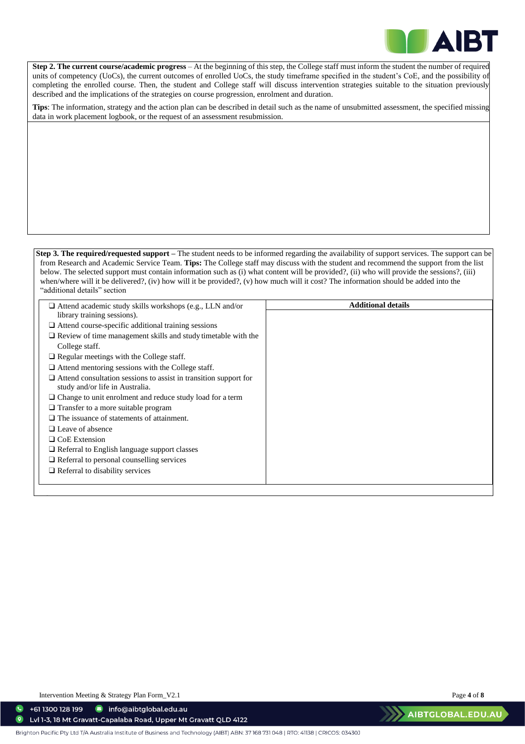

**2. Step 2. The current course/academic progress** – At the beginning of this step, the College staff must inform the student the number of required units of competency (UoCs), the current outcomes of enrolled UoCs, the study timeframe specified in the student's CoE, and the possibility of completing the enrolled course. Then, the student and College staff will discuss intervention strategies suitable to the situation previously described and the implications of the strategies on course progression, enrolment and duration.

**Tips**: The information, strategy and the action plan can be described in detail such as the name of unsubmitted assessment, the specified missing data in work placement logbook, or the request of an assessment resubmission.

#### **Step 3. The required/requested support** – The student needs to be informed regarding the availability of support services. The support can be from Research and Academic Service Team. **Tips:** The College staff may discuss with the student and recommend the support from the list below. The selected support must contain information such as (i) what content will be provided?, (ii) who will provide the sessions?, (iii) when/where will it be delivered?, (iv) how will it be provided?, (v) how much will it cost? The information should be added into the "additional details" section

| $\Box$ Attend academic study skills workshops (e.g., LLN and/or                                            | <b>Additional details</b> |
|------------------------------------------------------------------------------------------------------------|---------------------------|
| library training sessions).                                                                                |                           |
| $\Box$ Attend course-specific additional training sessions                                                 |                           |
| $\Box$ Review of time management skills and study timetable with the                                       |                           |
| College staff.                                                                                             |                           |
| $\Box$ Regular meetings with the College staff.                                                            |                           |
| $\Box$ Attend mentoring sessions with the College staff.                                                   |                           |
| $\Box$ Attend consultation sessions to assist in transition support for<br>study and/or life in Australia. |                           |
| $\Box$ Change to unit enrolment and reduce study load for a term                                           |                           |
| $\Box$ Transfer to a more suitable program                                                                 |                           |
| $\Box$ The issuance of statements of attainment.                                                           |                           |
| $\Box$ Leave of absence                                                                                    |                           |
| $\Box$ CoE Extension                                                                                       |                           |
| $\Box$ Referral to English language support classes                                                        |                           |
| $\Box$ Referral to personal counselling services                                                           |                           |
| $\Box$ Referral to disability services                                                                     |                           |
|                                                                                                            |                           |
|                                                                                                            |                           |

Intervention Meeting & Strategy Plan Form\_V2.1 Page **4** of **8**

 $\bullet$ 

+61 1300 128 199 nfo@aibtglobal.edu.au  $\bullet$ Lvl 1-3, 18 Mt Gravatt-Capalaba Road, Upper Mt Gravatt QLD 4122

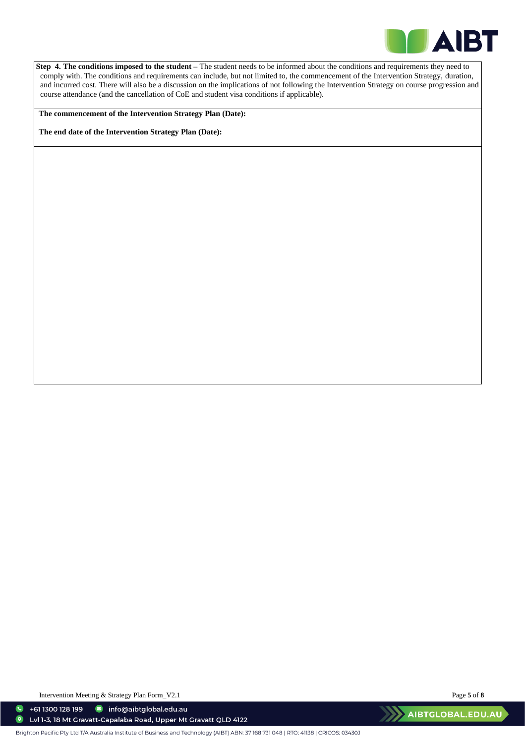

**Step 4. The conditions imposed to the student –** The student needs to be informed about the conditions and requirements they need to comply with. The conditions and requirements can include, but not limited to, the commencement of the Intervention Strategy, duration, and incurred cost. There will also be a discussion on the implications of not following the Intervention Strategy on course progression and course attendance (and the cancellation of CoE and student visa conditions if applicable).

**The commencement of the Intervention Strategy Plan (Date):** 

**The end date of the Intervention Strategy Plan (Date):** 

Intervention Meeting & Strategy Plan Form\_V2.1 Page **5** of **8**

 $\bullet$ +61 1300 128 199 nfo@aibtglobal.edu.au  $\bullet$ Lvl 1-3, 18 Mt Gravatt-Capalaba Road, Upper Mt Gravatt QLD 4122

Brighton Pacific Pty Ltd T/A Australia Institute of Business and Technology (AIBT) ABN: 37168 731048 | RTO: 41138 | CRICOS: 03430J

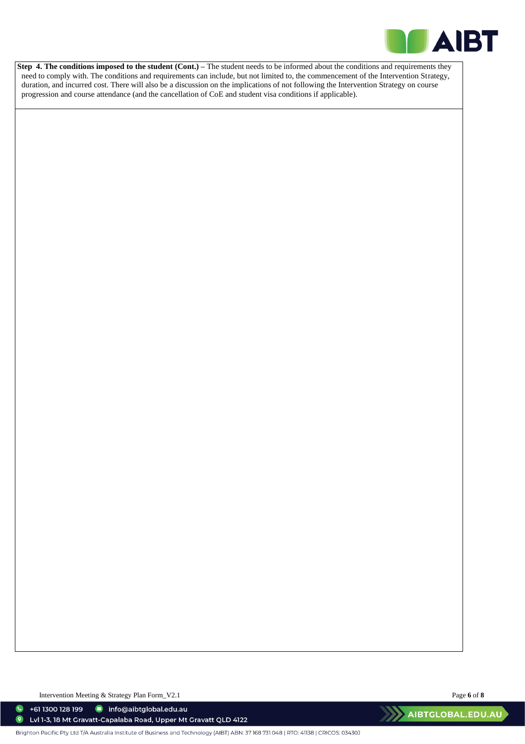

**Step 4. The conditions imposed to the student (Cont.) – The student needs to be informed about the conditions and requirements they** need to comply with. The conditions and requirements can include, but not limited to, the commencement of the Intervention Strategy, duration, and incurred cost. There will also be a discussion on the implications of not following the Intervention Strategy on course progression and course attendance (and the cancellation of CoE and student visa conditions if applicable).

Intervention Meeting & Strategy Plan Form\_V2.1 Page **6** of **8**

 $\bullet$  +61 1300 128 199 nfo@aibtglobal.edu.au

 $\bullet$ Lvl 1-3, 18 Mt Gravatt-Capalaba Road, Upper Mt Gravatt QLD 4122

Brighton Pacific Pty Ltd T/A Australia Institute of Business and Technology (AIBT) ABN: 37168 731048 | RTO: 41138 | CRICOS: 03430J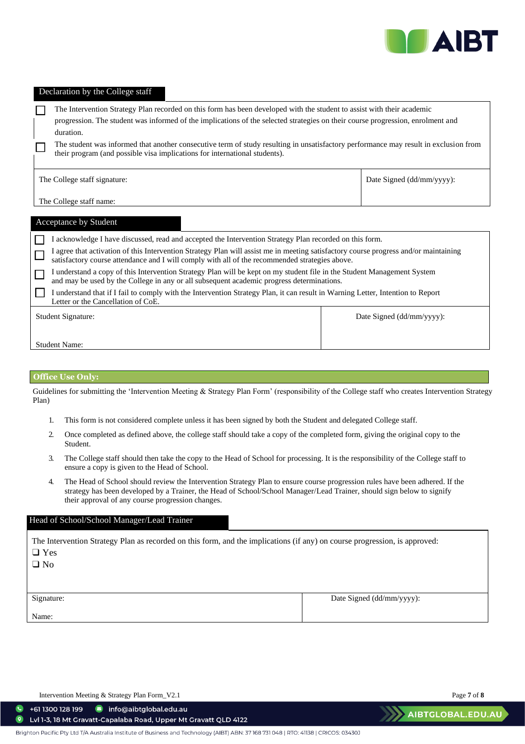

#### Declaration by the College staff

The Intervention Strategy Plan recorded on this form has been developed with the student to assist with their academic  $\Box$ progression. The student was informed of the implications of the selected strategies on their course progression, enrolment and duration. The student was informed that another consecutive term of study resulting in unsatisfactory performance may result in exclusion from ш their program (and possible visa implications for international students).

Date Signed (dd/mm/yyyy):

The College staff name:

|                    | Acceptance by Student                                                                                                                                                                                                                |                              |  |  |
|--------------------|--------------------------------------------------------------------------------------------------------------------------------------------------------------------------------------------------------------------------------------|------------------------------|--|--|
|                    | acknowledge I have discussed, read and accepted the Intervention Strategy Plan recorded on this form.                                                                                                                                |                              |  |  |
|                    | agree that activation of this Intervention Strategy Plan will assist me in meeting satisfactory course progress and/or maintaining<br>satisfactory course attendance and I will comply with all of the recommended strategies above. |                              |  |  |
|                    | understand a copy of this Intervention Strategy Plan will be kept on my student file in the Student Management System<br>and may be used by the College in any or all subsequent academic progress determinations.                   |                              |  |  |
|                    | I understand that if I fail to comply with the Intervention Strategy Plan, it can result in Warning Letter, Intention to Report<br>Letter or the Cancellation of CoE.                                                                |                              |  |  |
| Student Signature: |                                                                                                                                                                                                                                      | Date Signed $(dd/mm/yyyy)$ : |  |  |
|                    |                                                                                                                                                                                                                                      |                              |  |  |
|                    | <b>Student Name:</b>                                                                                                                                                                                                                 |                              |  |  |

#### **Office Use Only:**

Guidelines for submitting the 'Intervention Meeting & Strategy Plan Form' (responsibility of the College staff who creates Intervention Strategy Plan)

- 1. This form is not considered complete unless it has been signed by both the Student and delegated College staff.
- 2. Once completed as defined above, the college staff should take a copy of the completed form, giving the original copy to the Student.
- 3. The College staff should then take the copy to the Head of School for processing. It is the responsibility of the College staff to ensure a copy is given to the Head of School.
- 4. The Head of School should review the Intervention Strategy Plan to ensure course progression rules have been adhered. If the strategy has been developed by a Trainer, the Head of School/School Manager/Lead Trainer, should sign below to signify their approval of any course progression changes.

#### Head of School/School Manager/Lead Trainer

The Intervention Strategy Plan as recorded on this form, and the implications (if any) on course progression, is approved: ❑ Yes

❑ No

Signature:

Date Signed (dd/mm/yyyy):

Name:

 $\bullet$ 

 $\bullet$ 

Intervention Meeting & Strategy Plan Form\_V2.1 Page **7** of **8**

+61 1300 128 199 nfo@aibtglobal.edu.au

Lvl 1-3, 18 Mt Gravatt-Capalaba Road, Upper Mt Gravatt QLD 4122

AIBTGLOBAL